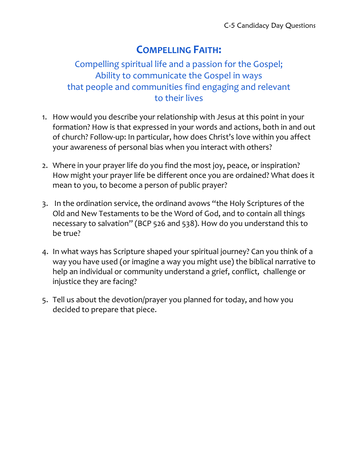# **COMPELLING FAITH:**

### Compelling spiritual life and a passion for the Gospel; Ability to communicate the Gospel in ways that people and communities find engaging and relevant to their lives

- 1. How would you describe your relationship with Jesus at this point in your formation? How is that expressed in your words and actions, both in and out of church? Follow-up: In particular, how does Christ's love within you affect your awareness of personal bias when you interact with others?
- 2. Where in your prayer life do you find the most joy, peace, or inspiration? How might your prayer life be different once you are ordained? What does it mean to you, to become a person of public prayer?
- 3. In the ordination service, the ordinand avows "the Holy Scriptures of the Old and New Testaments to be the Word of God, and to contain all things necessary to salvation" (BCP 526 and 538). How do you understand this to be true?
- 4. In what ways has Scripture shaped your spiritual journey? Can you think of a way you have used (or imagine a way you might use) the biblical narrative to help an individual or community understand a grief, conflict, challenge or injustice they are facing?
- 5. Tell us about the devotion/prayer you planned for today, and how you decided to prepare that piece.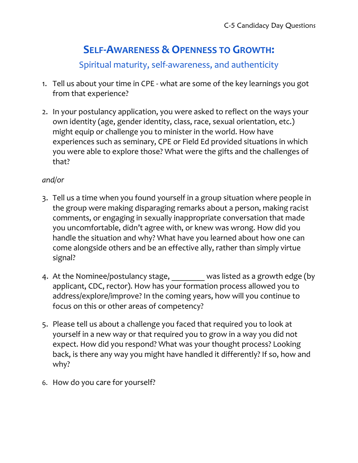# **SELF-AWARENESS & OPENNESS TO GROWTH:**

Spiritual maturity, self-awareness, and authenticity

- 1. Tell us about your time in CPE what are some of the key learnings you got from that experience?
- 2. In your postulancy application, you were asked to reflect on the ways your own identity (age, gender identity, class, race, sexual orientation, etc.) might equip or challenge you to minister in the world. How have experiences such as seminary, CPE or Field Ed provided situations in which you were able to explore those? What were the gifts and the challenges of that?

#### *and/or*

- 3. Tell us a time when you found yourself in a group situation where people in the group were making disparaging remarks about a person, making racist comments, or engaging in sexually inappropriate conversation that made you uncomfortable, didn't agree with, or knew was wrong. How did you handle the situation and why? What have you learned about how one can come alongside others and be an effective ally, rather than simply virtue signal?
- 4. At the Nominee/postulancy stage, was listed as a growth edge (by applicant, CDC, rector). How has your formation process allowed you to address/explore/improve? In the coming years, how will you continue to focus on this or other areas of competency?
- 5. Please tell us about a challenge you faced that required you to look at yourself in a new way or that required you to grow in a way you did not expect. How did you respond? What was your thought process? Looking back, is there any way you might have handled it differently? If so, how and why?
- 6. How do you care for yourself?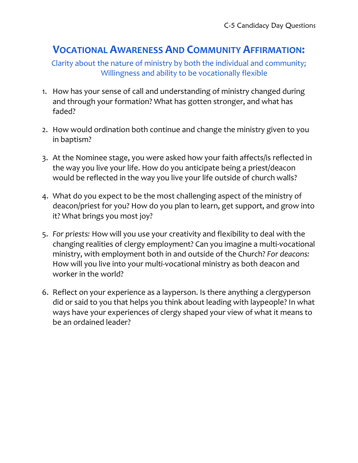## **VOCATIONAL AWARENESS AND COMMUNITY AFFIRMATION:**

Clarity about the nature of ministry by both the individual and community; Willingness and ability to be vocationally flexible

- 1. How has your sense of call and understanding of ministry changed during and through your formation? What has gotten stronger, and what has faded?
- 2. How would ordination both continue and change the ministry given to you in baptism?
- 3. At the Nominee stage, you were asked how your faith affects/is reflected in the way you live your life. How do you anticipate being a priest/deacon would be reflected in the way you live your life outside of church walls?
- 4. What do you expect to be the most challenging aspect of the ministry of deacon/priest for you? How do you plan to learn, get support, and grow into it? What brings you most joy?
- 5. *For priests:* How will you use your creativity and flexibility to deal with the changing realities of clergy employment? Can you imagine a multi-vocational ministry, with employment both in and outside of the Church? *For deacons:* How will you live into your multi-vocational ministry as both deacon and worker in the world?
- 6. Reflect on your experience as a layperson. Is there anything a clergyperson did or said to you that helps you think about leading with laypeople? In what ways have your experiences of clergy shaped your view of what it means to be an ordained leader?